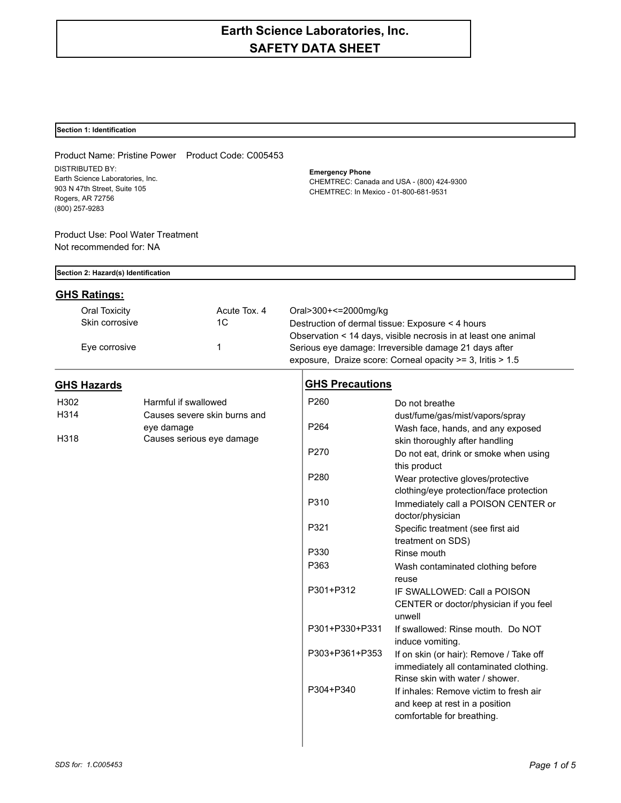# **Earth Science Laboratories, Inc. SAFETY DATA SHEET**

## **Section 1: Identification**

| <b>DISTRIBUTED BY:</b>                                                                                 |            | Product Name: Pristine Power Product Code: C005453                                 | <b>Emergency Phone</b> |                                                                                                                      |
|--------------------------------------------------------------------------------------------------------|------------|------------------------------------------------------------------------------------|------------------------|----------------------------------------------------------------------------------------------------------------------|
| Earth Science Laboratories, Inc.<br>903 N 47th Street, Suite 105<br>Rogers, AR 72756<br>(800) 257-9283 |            | CHEMTREC: Canada and USA - (800) 424-9300<br>CHEMTREC: In Mexico - 01-800-681-9531 |                        |                                                                                                                      |
| Product Use: Pool Water Treatment<br>Not recommended for: NA                                           |            |                                                                                    |                        |                                                                                                                      |
| Section 2: Hazard(s) Identification                                                                    |            |                                                                                    |                        |                                                                                                                      |
| <b>GHS Ratings:</b>                                                                                    |            |                                                                                    |                        |                                                                                                                      |
| <b>Oral Toxicity</b>                                                                                   |            | Acute Tox, 4                                                                       | Oral>300+<=2000mg/kg   |                                                                                                                      |
| Skin corrosive                                                                                         |            | 1 <sup>C</sup>                                                                     |                        | Destruction of dermal tissue: Exposure < 4 hours                                                                     |
|                                                                                                        |            |                                                                                    |                        | Observation < 14 days, visible necrosis in at least one animal                                                       |
| Eye corrosive                                                                                          |            | 1                                                                                  |                        | Serious eye damage: Irreversible damage 21 days after                                                                |
|                                                                                                        |            |                                                                                    |                        | exposure, Draize score: Corneal opacity >= 3, Iritis > 1.5                                                           |
| <b>GHS Hazards</b>                                                                                     |            |                                                                                    | <b>GHS Precautions</b> |                                                                                                                      |
| H302                                                                                                   |            | Harmful if swallowed                                                               | P260                   | Do not breathe                                                                                                       |
| H314                                                                                                   |            | Causes severe skin burns and                                                       |                        | dust/fume/gas/mist/vapors/spray                                                                                      |
|                                                                                                        | eye damage |                                                                                    | P264                   | Wash face, hands, and any exposed                                                                                    |
| H318                                                                                                   |            | Causes serious eye damage                                                          |                        | skin thoroughly after handling                                                                                       |
|                                                                                                        |            |                                                                                    | P270                   | Do not eat, drink or smoke when using<br>this product                                                                |
|                                                                                                        |            |                                                                                    | P280                   | Wear protective gloves/protective<br>clothing/eye protection/face protection                                         |
|                                                                                                        |            |                                                                                    | P310                   | Immediately call a POISON CENTER or<br>doctor/physician                                                              |
|                                                                                                        |            |                                                                                    | P321                   | Specific treatment (see first aid<br>treatment on SDS)                                                               |
|                                                                                                        |            |                                                                                    | P330                   | Rinse mouth                                                                                                          |
|                                                                                                        |            |                                                                                    | P363                   | Wash contaminated clothing before<br>reuse                                                                           |
|                                                                                                        |            |                                                                                    | P301+P312              | IF SWALLOWED: Call a POISON<br>CENTER or doctor/physician if you feel<br>unwell                                      |
|                                                                                                        |            |                                                                                    | P301+P330+P331         | If swallowed: Rinse mouth. Do NOT<br>induce vomiting.                                                                |
|                                                                                                        |            |                                                                                    | P303+P361+P353         | If on skin (or hair): Remove / Take off<br>immediately all contaminated clothing.<br>Rinse skin with water / shower. |

P304+P340 If inhales: Remove victim to fresh air

and keep at rest in a position comfortable for breathing.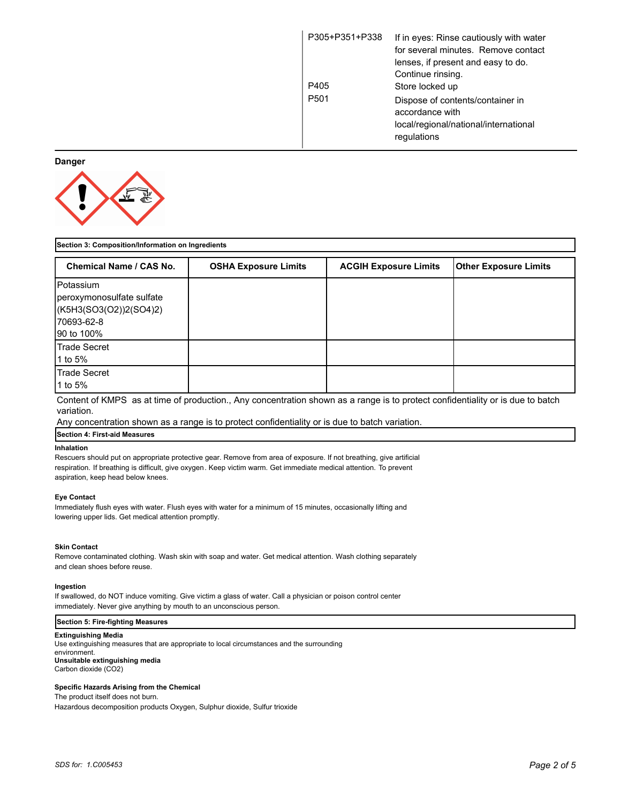| P305+P351+P338   | If in eyes: Rinse cautiously with water<br>for several minutes. Remove contact<br>lenses, if present and easy to do. |
|------------------|----------------------------------------------------------------------------------------------------------------------|
|                  | Continue rinsing.                                                                                                    |
| P405             | Store locked up                                                                                                      |
| P <sub>501</sub> | Dispose of contents/container in<br>accordance with                                                                  |
|                  | local/regional/national/international                                                                                |
|                  | regulations                                                                                                          |

## **Danger**



| Section 3: Composition/Information on Ingredients                                                     |                             |                              |                              |
|-------------------------------------------------------------------------------------------------------|-----------------------------|------------------------------|------------------------------|
| Chemical Name / CAS No.                                                                               | <b>OSHA Exposure Limits</b> | <b>ACGIH Exposure Limits</b> | <b>Other Exposure Limits</b> |
| <b>IPotassium</b><br>peroxymonosulfate sulfate<br>(K5H3(SO3(O2))2(SO4)2)<br>170693-62-8<br>90 to 100% |                             |                              |                              |
| <b>Trade Secret</b><br>1 to 5%                                                                        |                             |                              |                              |
| Trade Secret<br>1 to 5%                                                                               |                             |                              |                              |

Content of KMPS as at time of production., Any concentration shown as a range is to protect confidentiality or is due to batch variation.

Any concentration shown as a range is to protect confidentiality or is due to batch variation.

## **Section 4: First-aid Measures**

## **Inhalation**

Rescuers should put on appropriate protective gear. Remove from area of exposure. If not breathing, give artificial respiration. If breathing is difficult, give oxygen. Keep victim warm. Get immediate medical attention. To prevent aspiration, keep head below knees.

#### **Eye Contact**

Immediately flush eyes with water. Flush eyes with water for a minimum of 15 minutes, occasionally lifting and lowering upper lids. Get medical attention promptly.

#### **Skin Contact**

Remove contaminated clothing. Wash skin with soap and water. Get medical attention. Wash clothing separately and clean shoes before reuse.

## **Ingestion**

If swallowed, do NOT induce vomiting. Give victim a glass of water. Call a physician or poison control center immediately. Never give anything by mouth to an unconscious person.

## **Section 5: Fire-fighting Measures**

#### **Extinguishing Media**

Use extinguishing measures that are appropriate to local circumstances and the surrounding environment. **Unsuitable extinguishing media** Carbon dioxide (CO2)

## **Specific Hazards Arising from the Chemical**

The product itself does not burn.

Hazardous decomposition products Oxygen, Sulphur dioxide, Sulfur trioxide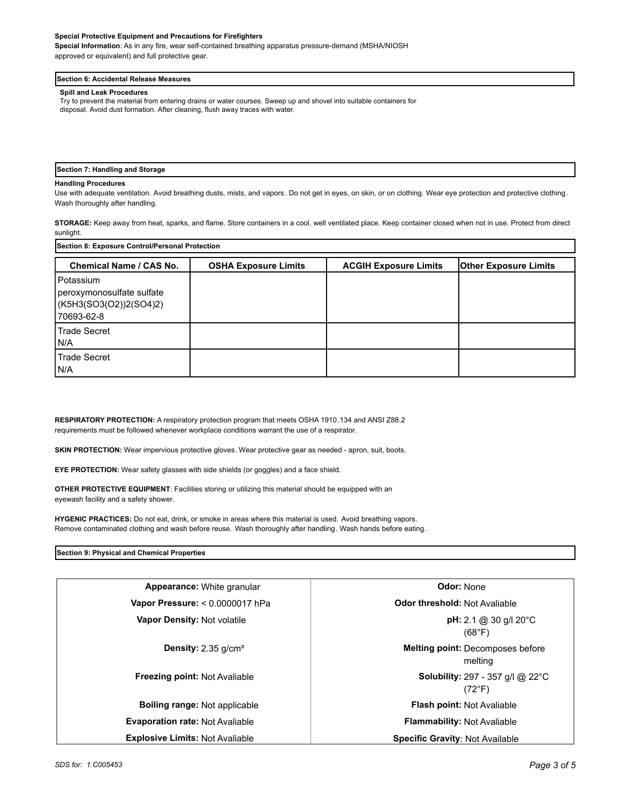#### **Special Protective Equipment and Precautions for Firefighters**

**Special Information**: As in any fire, wear self-contained breathing apparatus pressure-demand (MSHA/NIOSH approved or equivalent) and full protective gear.

#### **Section 6: Accidental Release Measures**

## **Spill and Leak Procedures**

Try to prevent the material from entering drains or water courses. Sweep up and shovel into suitable containers for disposal. Avoid dust formation. After cleaning, flush away traces with water.

#### **Section 7: Handling and Storage**

#### **Handling Procedures**

Use with adequate ventilation. Avoid breathing dusts, mists, and vapors. Do not get in eyes, on skin, or on clothing. Wear eye protection and protective clothing. Wash thoroughly after handling.

**STORAGE:** Keep away from heat, sparks, and flame. Store containers in a cool, well ventilated place. Keep container closed when not in use. Protect from direct sunlight.

| Section 8: Exposure Control/Personal Protection                                  |                             |                              |                              |
|----------------------------------------------------------------------------------|-----------------------------|------------------------------|------------------------------|
| <b>Chemical Name / CAS No.</b>                                                   | <b>OSHA Exposure Limits</b> | <b>ACGIH Exposure Limits</b> | <b>Other Exposure Limits</b> |
| l Potassium<br>peroxymonosulfate sulfate<br>(K5H3(SO3(O2))2(SO4)2)<br>70693-62-8 |                             |                              |                              |
| Trade Secret<br>I N/A                                                            |                             |                              |                              |
| <b>Trade Secret</b><br>IN/A                                                      |                             |                              |                              |

**RESPIRATORY PROTECTION:** A respiratory protection program that meets OSHA 1910.134 and ANSI Z88.2 requirements must be followed whenever workplace conditions warrant the use of a respirator.

**SKIN PROTECTION:** Wear impervious protective gloves. Wear protective gear as needed - apron, suit, boots.

**EYE PROTECTION:** Wear safety glasses with side shields (or goggles) and a face shield.

**OTHER PROTECTIVE EQUIPMENT**: Facilities storing or utilizing this material should be equipped with an eyewash facility and a safety shower.

**HYGENIC PRACTICES:** Do not eat, drink, or smoke in areas where this material is used. Avoid breathing vapors. Remove contaminated clothing and wash before reuse. Wash thoroughly after handling. Wash hands before eating.

## **Section 9: Physical and Chemical Properties**

| Appearance: White granular             | <b>Odor: None</b>                                                     |
|----------------------------------------|-----------------------------------------------------------------------|
| Vapor Pressure: < 0.0000017 hPa        | Odor threshold: Not Avaliable                                         |
| <b>Vapor Density: Not volatile</b>     | <b>pH:</b> 2.1 @ 30 g/l 20 $^{\circ}$ C<br>(68°F)                     |
| <b>Density:</b> 2.35 $q/cm3$           | Melting point: Decomposes before<br>melting                           |
| <b>Freezing point: Not Avaliable</b>   | <b>Solubility:</b> 297 - 357 g/l @ 22 $^{\circ}$ C<br>$(72^{\circ}F)$ |
| Boiling range: Not applicable          | Flash point: Not Avaliable                                            |
| <b>Evaporation rate: Not Avaliable</b> | <b>Flammability: Not Avaliable</b>                                    |
| <b>Explosive Limits: Not Avaliable</b> | <b>Specific Gravity: Not Available</b>                                |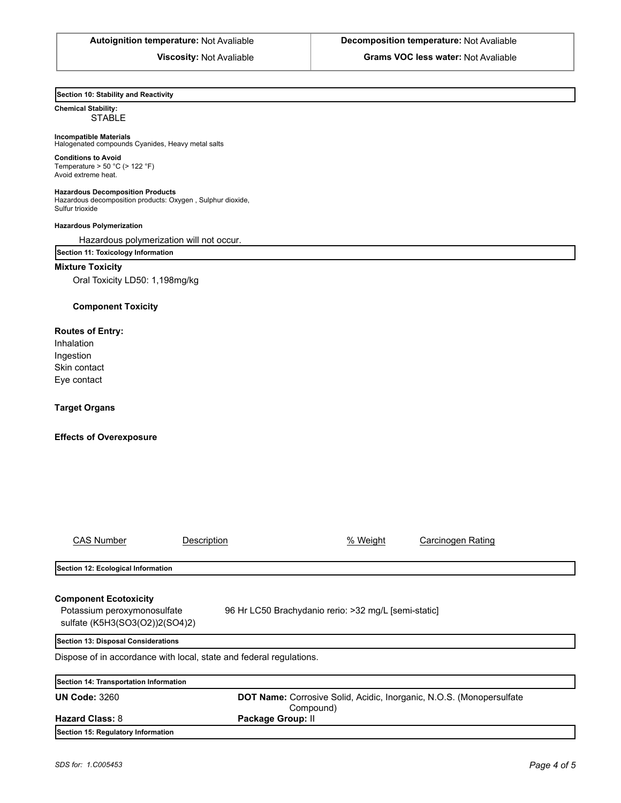**Autoignition temperature:** Not Avaliable **Decomposition temperature:** Not Avaliable

**Viscosity:** Not Avaliable **Grams VOC less water:** Not Avaliable

## **Section 10: Stability and Reactivity**

## **Chemical Stability: STABLE**

## **Incompatible Materials**

Halogenated compounds Cyanides, Heavy metal salts

**Conditions to Avoid** Temperature >  $50 °C$  (>  $122 °F$ ) Avoid extreme heat.

#### **Hazardous Decomposition Products**

Hazardous decomposition products: Oxygen , Sulphur dioxide, Sulfur trioxide

## **Hazardous Polymerization**

Hazardous polymerization will not occur.

## **Section 11: Toxicology Information**

## **Mixture Toxicity**

Oral Toxicity LD50: 1,198mg/kg

## **Component Toxicity**

## **Routes of Entry:**

Inhalation Ingestion Skin contact Eye contact

## **Target Organs**

## **Effects of Overexposure**

| <b>CAS Number</b>                                                                   | Description                                                                       | % Weight | Carcinogen Rating |  |
|-------------------------------------------------------------------------------------|-----------------------------------------------------------------------------------|----------|-------------------|--|
|                                                                                     |                                                                                   |          |                   |  |
| Section 12: Ecological Information                                                  |                                                                                   |          |                   |  |
|                                                                                     |                                                                                   |          |                   |  |
| <b>Component Ecotoxicity</b>                                                        |                                                                                   |          |                   |  |
| 96 Hr LC50 Brachydanio rerio: >32 mg/L [semi-static]<br>Potassium peroxymonosulfate |                                                                                   |          |                   |  |
| sulfate (K5H3(SO3(O2))2(SO4)2)                                                      |                                                                                   |          |                   |  |
| Section 13: Disposal Considerations                                                 |                                                                                   |          |                   |  |
| Dispose of in accordance with local, state and federal regulations.                 |                                                                                   |          |                   |  |
|                                                                                     |                                                                                   |          |                   |  |
| Section 14: Transportation Information                                              |                                                                                   |          |                   |  |
| <b>UN Code: 3260</b>                                                                | DOT Name: Corrosive Solid, Acidic, Inorganic, N.O.S. (Monopersulfate<br>Compound) |          |                   |  |
| <b>Hazard Class: 8</b>                                                              | Package Group: II                                                                 |          |                   |  |
| Section 15: Regulatory Information                                                  |                                                                                   |          |                   |  |